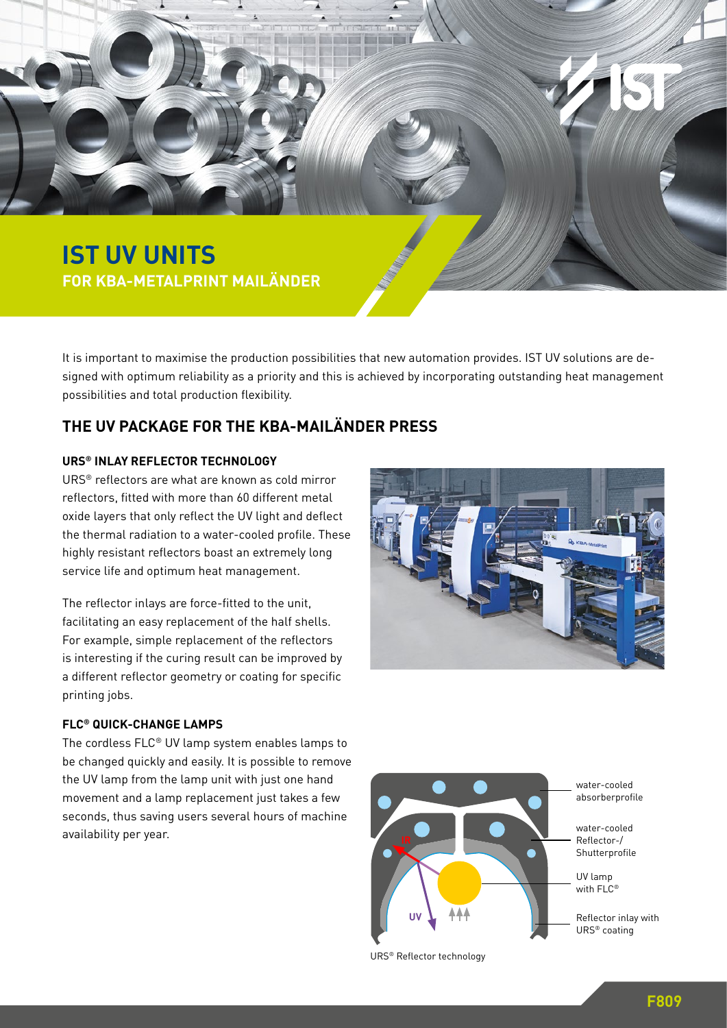

It is important to maximise the production possibilities that new automation provides. IST UV solutions are designed with optimum reliability as a priority and this is achieved by incorporating outstanding heat management possibilities and total production flexibility.

# **THE UV PACKAGE FOR THE KBA-MAILÄNDER PRESS**

#### **URS® INLAY REFLECTOR TECHNOLOGY**

URS® reflectors are what are known as cold mirror reflectors, fitted with more than 60 different metal oxide layers that only reflect the UV light and deflect the thermal radiation to a water-cooled profile. These highly resistant reflectors boast an extremely long service life and optimum heat management.

The reflector inlays are force-fitted to the unit, facilitating an easy replacement of the half shells. For example, simple replacement of the reflectors is interesting if the curing result can be improved by a different reflector geometry or coating for specific printing jobs.

#### **FLC® QUICK-CHANGE LAMPS**

The cordless FLC® UV lamp system enables lamps to be changed quickly and easily. It is possible to remove the UV lamp from the lamp unit with just one hand movement and a lamp replacement just takes a few seconds, thus saving users several hours of machine availability per year.





URS® Reflector technology